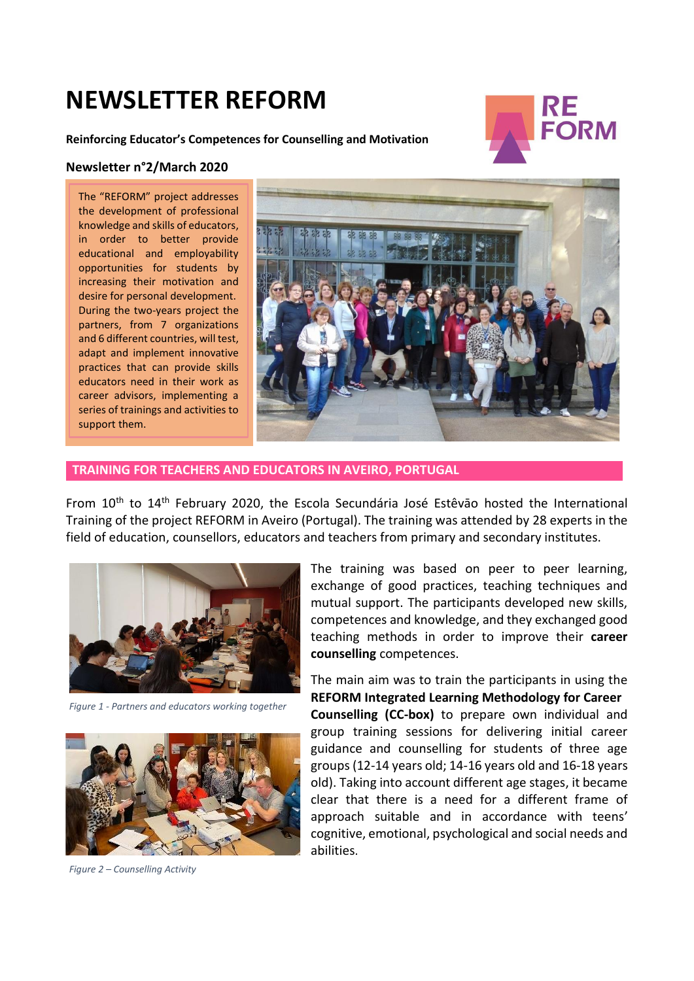# **NEWSLETTER REFORM**



**Reinforcing Educator's Competences for Counselling and Motivation**

#### **Newsletter n°2/March 2020**

The "REFORM" project addresses the development of professional knowledge and skills of educators, in order to better provide educational and employability opportunities for students by increasing their motivation and desire for personal development. During the two-years project the partners, from 7 organizations and 6 different countries, will test, adapt and implement innovative practices that can provide skills educators need in their work as career advisors, implementing a series of trainings and activities to support them.



### **TRAINING FOR TEACHERS AND EDUCATORS IN AVEIRO, PORTUGAL**

From 10<sup>th</sup> to 14<sup>th</sup> February 2020, the Escola Secundária José Estêvão hosted the International Training of the project REFORM in Aveiro (Portugal). The training was attended by 28 experts in the field of education, counsellors, educators and teachers from primary and secondary institutes.



*Figure 1 - Partners and educators working together*



*Figure 2 – Counselling Activity* 

The training was based on peer to peer learning, exchange of good practices, teaching techniques and mutual support. The participants developed new skills, competences and knowledge, and they exchanged good teaching methods in order to improve their **career counselling** competences.

The main aim was to train the participants in using the **REFORM Integrated Learning Methodology for Career Counselling (CC-box)** to prepare own individual and group training sessions for delivering initial career guidance and counselling for students of three age groups (12-14 years old; 14-16 years old and 16-18 years old). Taking into account different age stages, it became clear that there is a need for a different frame of approach suitable and in accordance with teens' cognitive, emotional, psychological and social needs and abilities.